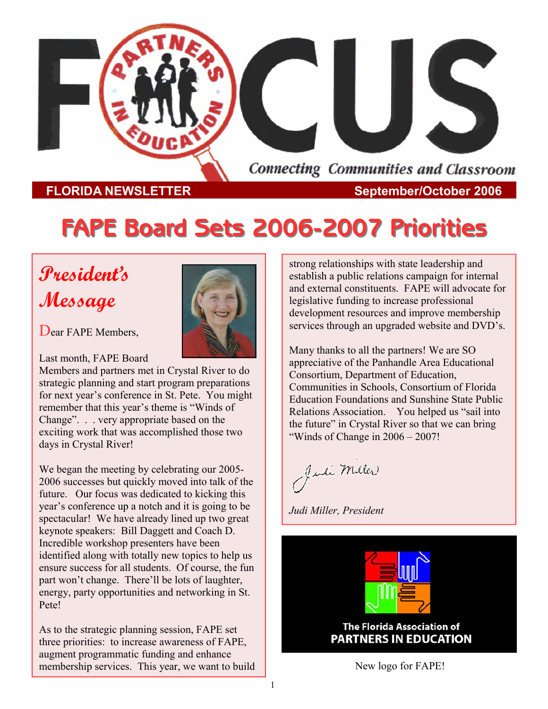

#### **FLORIDA NEWSLETTER** September/October 2006

# **FAPE Board Sets 2006 FAPE Board Sets 2006-2007 Priorities 2007 Priorities**

# **President's Message**



Dear FAPE Members.

Last month, FAPE Board

Members and partners met in Crystal River to do strategic planning and start program preparations for next year's conference in St. Pete. You might remember that this year's theme is "Winds of Change". . . very appropriate based on the exciting work that was accomplished those two days in Crystal River!

We began the meeting by celebrating our 2005- 2006 successes but quickly moved into talk of the future. Our focus was dedicated to kicking this year's conference up a notch and it is going to be spectacular! We have already lined up two great keynote speakers: Bill Daggett and Coach D. Incredible workshop presenters have been identified along with totally new topics to help us ensure success for all students. Of course, the fun part won't change. There'll be lots of laughter, energy, party opportunities and networking in St. Pete!

As to the strategic planning session, FAPE set three priorities: to increase awareness of FAPE, augment programmatic funding and enhance membership services. This year, we want to build strong relationships with state leadership and establish a public relations campaign for internal and external constituents. FAPE will advocate for legislative funding to increase professional development resources and improve membership services through an upgraded website and DVD's.

Many thanks to all the partners! We are SO appreciative of the Panhandle Area Educational Consortium, Department of Education, Communities in Schools, Consortium of Florida Education Foundations and Sunshine State Public Relations Association. You helped us "sail into the future" in Crystal River so that we can bring "Winds of Change in 2006 – 2007!

Juli Miller

*Judi Miller, President* 



**The Florida Association of PARTNERS IN EDUCATION** 

New logo for FAPE!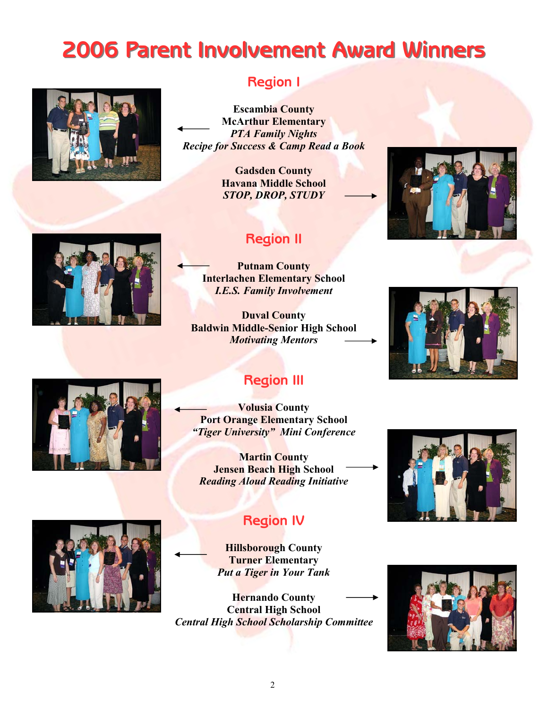# **2006 Parent Involvement Award Winners 2006 Parent Involvement Award Winners**



## **Region I**

**Escambia County McArthur Elementary**  *PTA Family Nights Recipe for Success & Camp Read a Book* 

> **Gadsden County Havana Middle School**  *STOP, DROP, STUDY*

# **Region II**

**Putnam County Interlachen Elementary School**  *I.E.S. Family Involvement* 

**Duval County Baldwin Middle-Senior High School**  *Motivating Mentors* 







# **Region III**

**Volusia County Port Orange Elementary School**  *"Tiger University" Mini Conference* 

**Martin County Jensen Beach High School**  *Reading Aloud Reading Initiative* 





## **Region IV**

**Hillsborough County Turner Elementary**  *Put a Tiger in Your Tank* 

**Hernando County Central High School**  *Central High School Scholarship Committee* 

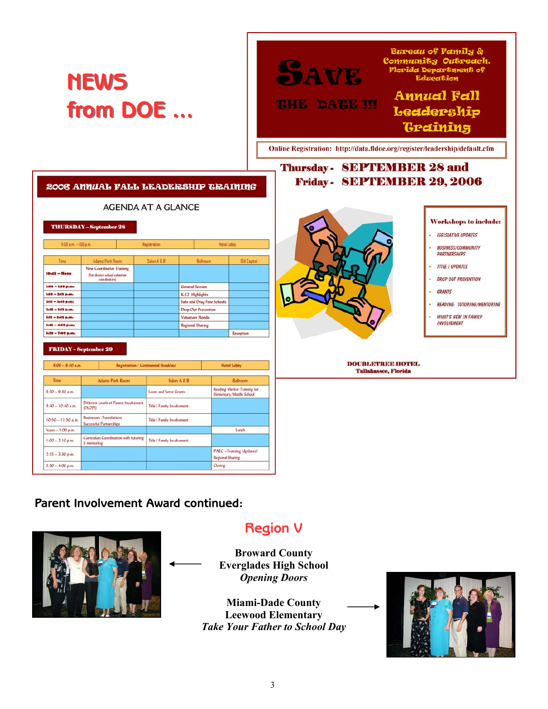

#### **Parent Involvement Award continued:**



**Region V** 

**Broward County Everglades High School**  *Opening Doors* 

> **Miami-Dade County Leewood Elementary**  *Take Your Father to School Day*

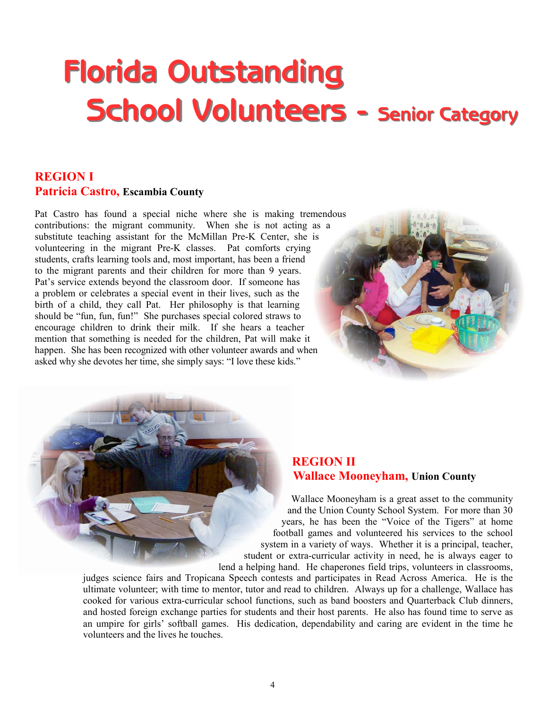# **Florida Outstanding School Volunteers - Senior Category**

#### **REGION I Patricia Castro, Escambia County**

Pat Castro has found a special niche where she is making tremendous contributions: the migrant community. When she is not acting as a substitute teaching assistant for the McMillan Pre-K Center, she is volunteering in the migrant Pre-K classes. Pat comforts crying students, crafts learning tools and, most important, has been a friend to the migrant parents and their children for more than 9 years. Pat's service extends beyond the classroom door. If someone has a problem or celebrates a special event in their lives, such as the birth of a child, they call Pat. Her philosophy is that learning should be "fun, fun, fun!" She purchases special colored straws to encourage children to drink their milk. If she hears a teacher mention that something is needed for the children, Pat will make it happen. She has been recognized with other volunteer awards and when asked why she devotes her time, she simply says: "I love these kids."



#### **REGION II Wallace Mooneyham, Union County**

Wallace Mooneyham is a great asset to the community and the Union County School System. For more than 30 years, he has been the "Voice of the Tigers" at home football games and volunteered his services to the school system in a variety of ways. Whether it is a principal, teacher, student or extra-curricular activity in need, he is always eager to lend a helping hand. He chaperones field trips, volunteers in classrooms,

judges science fairs and Tropicana Speech contests and participates in Read Across America. He is the ultimate volunteer; with time to mentor, tutor and read to children. Always up for a challenge, Wallace has cooked for various extra-curricular school functions, such as band boosters and Quarterback Club dinners, and hosted foreign exchange parties for students and their host parents. He also has found time to serve as an umpire for girls' softball games. His dedication, dependability and caring are evident in the time he volunteers and the lives he touches.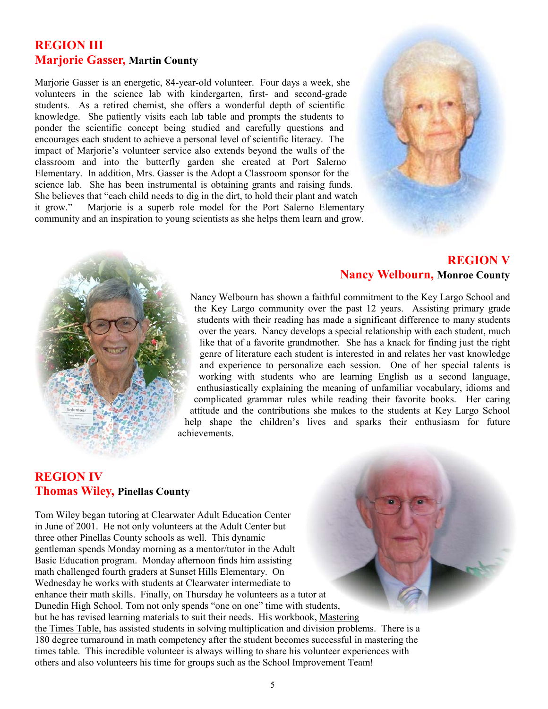#### **REGION III Marjorie Gasser, Martin County**

Marjorie Gasser is an energetic, 84-year-old volunteer. Four days a week, she volunteers in the science lab with kindergarten, first- and second-grade students. As a retired chemist, she offers a wonderful depth of scientific knowledge. She patiently visits each lab table and prompts the students to ponder the scientific concept being studied and carefully questions and encourages each student to achieve a personal level of scientific literacy. The impact of Marjorie's volunteer service also extends beyond the walls of the classroom and into the butterfly garden she created at Port Salerno Elementary. In addition, Mrs. Gasser is the Adopt a Classroom sponsor for the science lab. She has been instrumental is obtaining grants and raising funds. She believes that "each child needs to dig in the dirt, to hold their plant and watch it grow." Marjorie is a superb role model for the Port Salerno Elementary community and an inspiration to young scientists as she helps them learn and grow.



#### **REGION V Nancy Welbourn, Monroe County**

Nancy Welbourn has shown a faithful commitment to the Key Largo School and the Key Largo community over the past 12 years. Assisting primary grade students with their reading has made a significant difference to many students over the years. Nancy develops a special relationship with each student, much like that of a favorite grandmother. She has a knack for finding just the right genre of literature each student is interested in and relates her vast knowledge and experience to personalize each session. One of her special talents is working with students who are learning English as a second language, enthusiastically explaining the meaning of unfamiliar vocabulary, idioms and complicated grammar rules while reading their favorite books. Her caring attitude and the contributions she makes to the students at Key Largo School help shape the children's lives and sparks their enthusiasm for future achievements.

#### **REGION IV Thomas Wiley, Pinellas County**

Tom Wiley began tutoring at Clearwater Adult Education Center in June of 2001. He not only volunteers at the Adult Center but three other Pinellas County schools as well. This dynamic gentleman spends Monday morning as a mentor/tutor in the Adult Basic Education program. Monday afternoon finds him assisting math challenged fourth graders at Sunset Hills Elementary. On Wednesday he works with students at Clearwater intermediate to enhance their math skills. Finally, on Thursday he volunteers as a tutor at Dunedin High School. Tom not only spends "one on one" time with students, but he has revised learning materials to suit their needs. His workbook, Mastering the Times Table, has assisted students in solving multiplication and division problems. There is a 180 degree turnaround in math competency after the student becomes successful in mastering the times table. This incredible volunteer is always willing to share his volunteer experiences with others and also volunteers his time for groups such as the School Improvement Team!